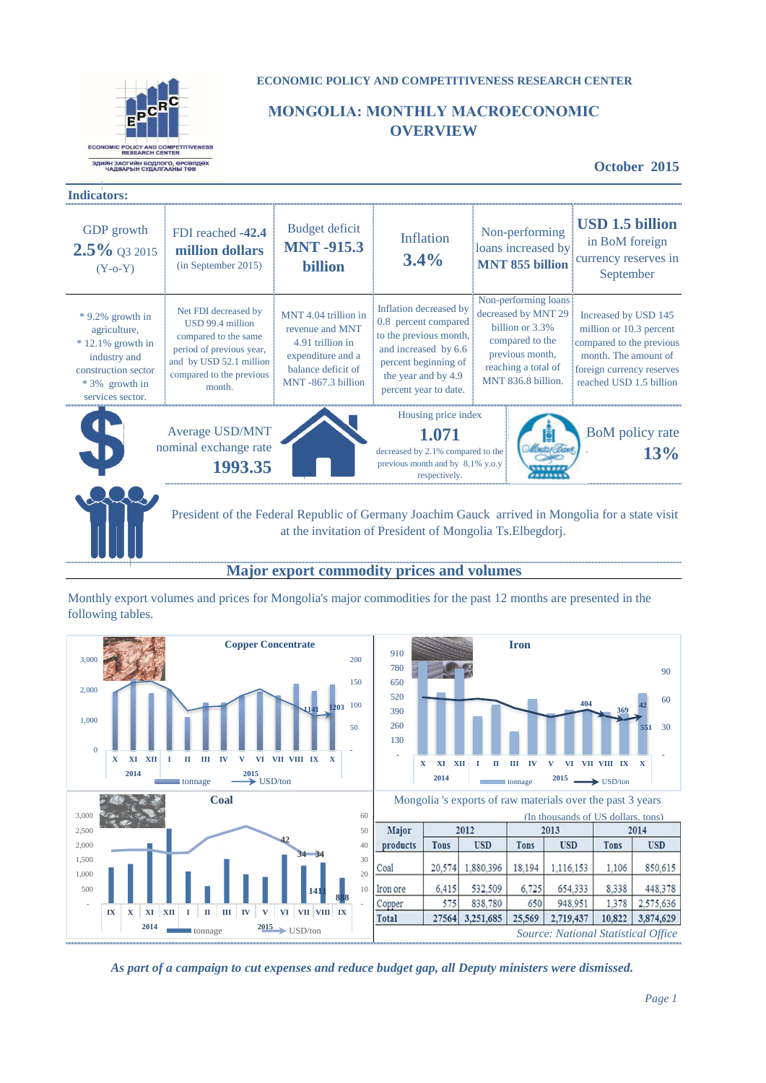

# **ECONOMIC POLICY AND COMPETITIVENESS RESEARCH CENTER**

# **МОNGOLIA: MONTHLY MACROECONOMIC OVERVIEW**

**October 2015**

| <b>Indicators:</b>                                                                                                                      |                                                                                                                                                               |                                                                                                                             |                                                                                                                                                                          |                                                                                                                                                   |                                                                                                                                                             |
|-----------------------------------------------------------------------------------------------------------------------------------------|---------------------------------------------------------------------------------------------------------------------------------------------------------------|-----------------------------------------------------------------------------------------------------------------------------|--------------------------------------------------------------------------------------------------------------------------------------------------------------------------|---------------------------------------------------------------------------------------------------------------------------------------------------|-------------------------------------------------------------------------------------------------------------------------------------------------------------|
| <b>GDP</b> growth<br>$2.5\%$ Q3 2015<br>$(Y-0-Y)$                                                                                       | FDI reached -42.4<br>million dollars<br>(in September 2015)                                                                                                   | Budget deficit<br><b>MNT-915.3</b><br>billion                                                                               | Inflation<br>3.4%                                                                                                                                                        | Non-performing<br>loans increased by<br><b>MNT 855 billion</b>                                                                                    | <b>USD 1.5 billion</b><br>in BoM foreign<br>currency reserves in<br>September                                                                               |
| $*9.2\%$ growth in<br>agriculture,<br>$* 12.1\%$ growth in<br>industry and<br>construction sector<br>* 3% growth in<br>services sector. | Net FDI decreased by<br>USD 99.4 million<br>compared to the same<br>period of previous year,<br>and by USD 52.1 million<br>compared to the previous<br>month. | MNT 4.04 trillion in<br>revenue and MNT<br>4.91 trillion in<br>expenditure and a<br>balance deficit of<br>MNT-867.3 billion | Inflation decreased by<br>0.8 percent compared<br>to the previous month,<br>and increased by 6.6<br>percent beginning of<br>the year and by 4.9<br>percent year to date. | Non-performing loans<br>decreased by MNT 29<br>billion or 3.3%<br>compared to the<br>previous month,<br>reaching a total of<br>MNT 836.8 billion. | Increased by USD 145<br>million or 10.3 percent<br>compared to the previous<br>month. The amount of<br>foreign currency reserves<br>reached USD 1.5 billion |
|                                                                                                                                         | Average USD/MNT<br>nominal exchange rate<br>1993.35                                                                                                           |                                                                                                                             | Housing price index<br>1.071<br>decreased by $2.1\%$ compared to the<br>previous month and by 8.1% y.o.y<br>respectively                                                 |                                                                                                                                                   | BoM policy rate<br>13%                                                                                                                                      |

 President of the Federal Republic of Germany Joachim Gauck arrived in Mongolia for a state visit at the invitation of President of Mongolia Ts.Elbegdorj.

# **Major export commodity prices and volumes**

Monthly export volumes and prices for Mongolia's major commodities for the past 12 months are presented in the following tables.





Mongolia 's exports of raw materials over the past 3 years

| (In thousands of US dollars, tons) |             |            |             |                                     |             |            |
|------------------------------------|-------------|------------|-------------|-------------------------------------|-------------|------------|
| Major                              | 2012        |            | 2013        |                                     | 2014        |            |
| products                           | <b>Tons</b> | <b>USD</b> | <b>Tons</b> | <b>USD</b>                          | <b>Tons</b> | <b>USD</b> |
| Coal                               | 20,574      | 1.880.396  | 18.194      | 1,116,153                           | 1,106       | 850,615    |
| Iron ore                           | 6,415       | 532.509    | 6.725       | 654,333                             | 8.338       | 448.378    |
| Copper                             | 575         | 838,780    | 650         | 948.951                             | 1.378       | 2.575,636  |
| <b>Total</b>                       | 27564       | 3,251,685  | 25.569      | 2.719.437                           | 10.822      | 3,874,629  |
|                                    |             |            |             | Source: National Statistical Office |             |            |

*As part of a campaign to cut expenses and reduce budget gap, all Deputy ministers were dismissed.*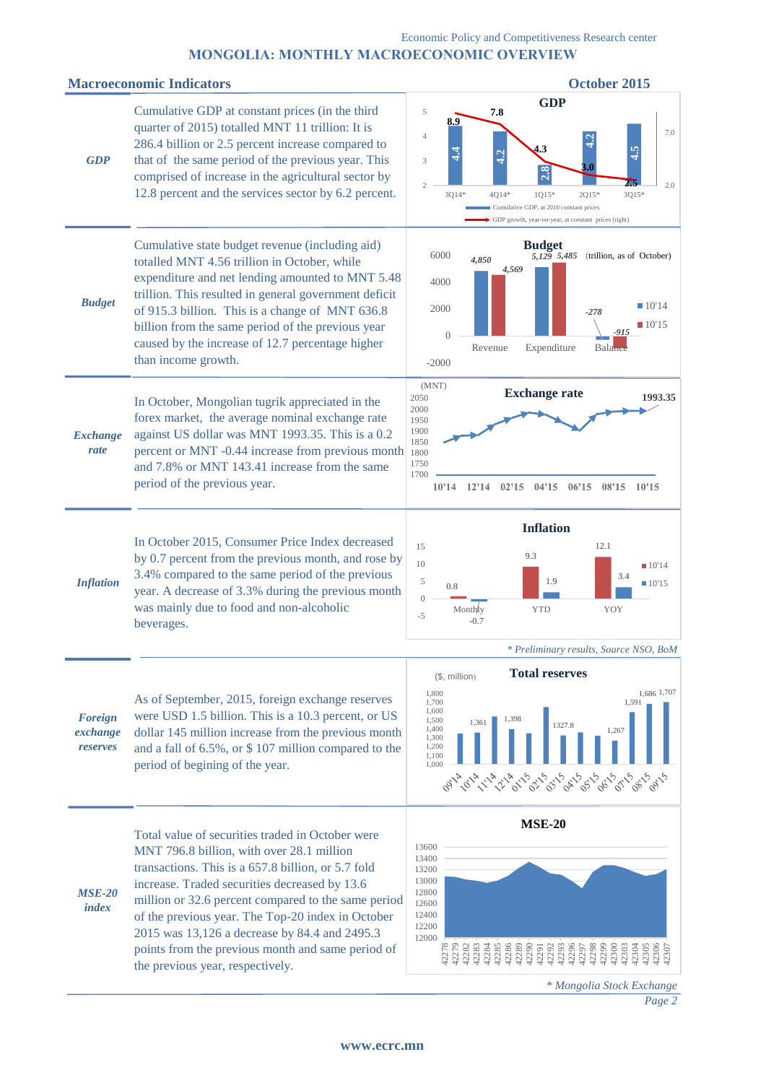# **МОNGOLIA: MONTHLY MACROECONOMIC OVERVIEW**

#### **Macroeconomic Indicators Constanting Services Constanting Services Constanting October 2015**



*<sup>\*</sup> Mongolia Stock Exchange*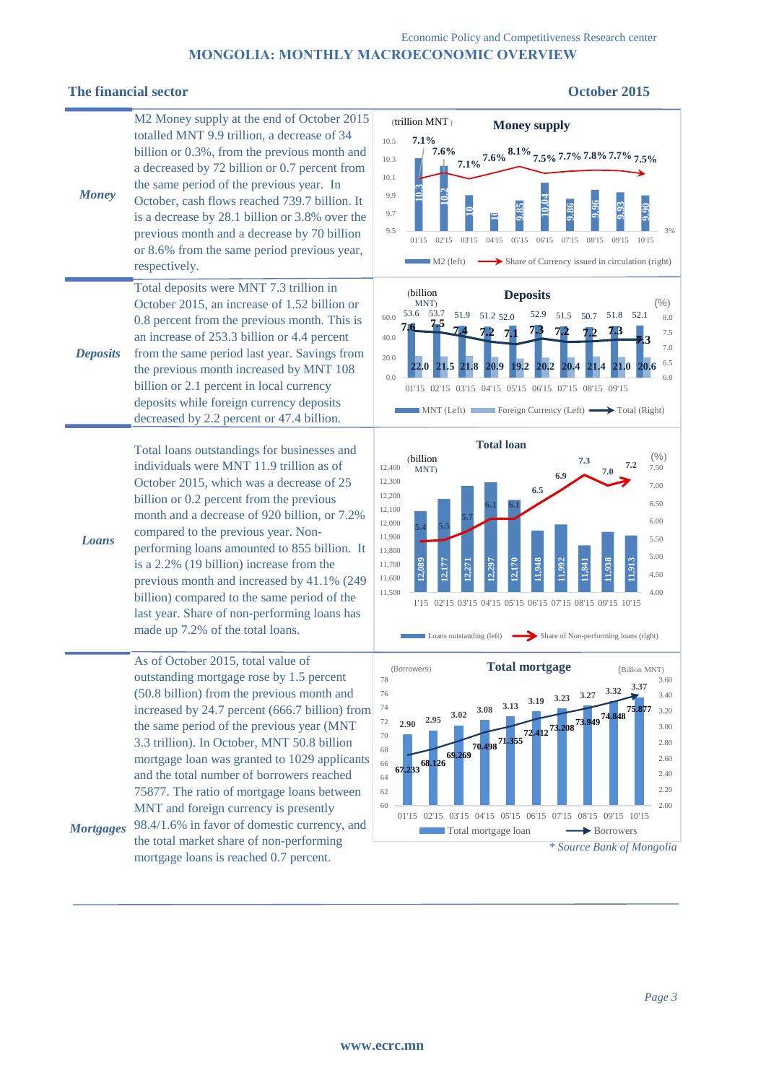# Economic Policy and Competitiveness Research center **МОNGOLIA: MONTHLY MACROECONOMIC OVERVIEW**

# **The financial sector October 2015**

| <b>Money</b>     | M2 Money supply at the end of October 2015<br>totalled MNT 9.9 trillion, a decrease of 34<br>billion or 0.3%, from the previous month and<br>a decreased by 72 billion or 0.7 percent from<br>the same period of the previous year. In<br>October, cash flows reached 739.7 billion. It<br>is a decrease by 28.1 billion or 3.8% over the<br>previous month and a decrease by 70 billion<br>or 8.6% from the same period previous year,<br>respectively.                                                                                                                                             | (trillion MNT)<br><b>Money supply</b><br>7.1%<br>10.5<br>$7.6\%$<br>$7.1\%$ $7.6\%$ $8.1\%$ $7.5\%$ $7.7\%$ $7.8\%$ $7.7\%$ $7.5\%$<br>10.3<br>10.1<br>9.9<br>$\frac{9.90}{2}$<br>9.7<br>9.5<br>3%<br>02'15<br>03'15<br>04'15<br>05'15<br>06'15<br>07'15<br>08'15<br>09'15<br>10'15<br>01'15<br>Share of Currency issued in circulation (right)<br>$M2$ (left)                                                                                                                              |
|------------------|------------------------------------------------------------------------------------------------------------------------------------------------------------------------------------------------------------------------------------------------------------------------------------------------------------------------------------------------------------------------------------------------------------------------------------------------------------------------------------------------------------------------------------------------------------------------------------------------------|---------------------------------------------------------------------------------------------------------------------------------------------------------------------------------------------------------------------------------------------------------------------------------------------------------------------------------------------------------------------------------------------------------------------------------------------------------------------------------------------|
| <b>Deposits</b>  | Total deposits were MNT 7.3 trillion in<br>October 2015, an increase of 1.52 billion or<br>0.8 percent from the previous month. This is<br>an increase of 253.3 billion or 4.4 percent<br>from the same period last year. Savings from<br>the previous month increased by MNT 108<br>billion or 2.1 percent in local currency<br>deposits while foreign currency deposits<br>decreased by 2.2 percent or 47.4 billion.                                                                                                                                                                               | (billion<br><b>Deposits</b><br>$(\% )$<br>MNT)<br>53.6<br>53.7<br>51.9 51.2 52.0<br>52.9<br>51.5 50.7 51.8 52.1<br>60.0<br>8.0<br>75<br>7.6<br>7.5<br>40.0<br>7.0<br>20.0<br>6.5<br>21.5 21.8<br>20.9<br>19.2<br>20.2<br>20.4<br>20.6<br>21.4<br>21.0<br>0.0<br>6.0<br>01'15 02'15 03'15 04'15 05'15 06'15 07'15 08'15 09'15<br>$\blacksquare$ MNT (Left) Foreign Currency (Left) $\longrightarrow$ Total (Right)                                                                           |
| Loans            | Total loans outstandings for businesses and<br>individuals were MNT 11.9 trillion as of<br>October 2015, which was a decrease of 25<br>billion or 0.2 percent from the previous<br>month and a decrease of 920 billion, or 7.2%<br>compared to the previous year. Non-<br>performing loans amounted to 855 billion. It<br>is a 2.2% (19 billion) increase from the<br>previous month and increased by 41.1% (249<br>billion) compared to the same period of the<br>last year. Share of non-performing loans has<br>made up 7.2% of the total loans.                                                  | <b>Total loan</b><br>(%)<br>(billion<br>7.3<br>7.2<br>12,400<br>7.50<br>MNT)<br>7.0<br>6.9<br>12,300<br>7.00<br>6.5<br>12,200<br>6.50<br>12,100<br>6.00<br>12,000<br>11,900<br>5.50<br>11,800<br>5.00<br>1,913<br>2,170<br><b>\$P6</b><br>992<br>938<br>1,841<br>2,177<br>11,700<br>4.50<br>11,600<br>11,500<br>4.00<br>1'15 02'15 03'15 04'15 05'15 06'15 07'15 08'15 09'15 10'15<br>Share of Non-performing loans (right)<br>Loans outstanding (left)                                     |
| <b>Mortgages</b> | As of October 2015, total value of<br>outstanding mortgage rose by 1.5 percent<br>(50.8 billion) from the previous month and<br>increased by 24.7 percent (666.7 billion) from<br>the same period of the previous year (MNT<br>3.3 trillion). In October, MNT 50.8 billion<br>mortgage loan was granted to 1029 applicants<br>and the total number of borrowers reached<br>75877. The ratio of mortgage loans between<br>MNT and foreign currency is presently<br>98.4/1.6% in favor of domestic currency, and<br>the total market share of non-performing<br>mortgage loans is reached 0.7 percent. | <b>Total mortgage</b><br>(Borrowers)<br>(Billion MNT)<br>78<br>3.60<br>3.37<br>3.32<br>76<br>$3.19$ $3.23$ $3.27$<br>3.40<br>$2.95 \quad 3.02 \quad 3.08 \quad 3.13$<br>74<br>3.20<br>67.23368.126 69.269 70.498 71.355 72.412 73.208 73.949 74.848<br>72<br>3.00<br>70<br>2.80<br>68<br>2.60<br>66<br>2.40<br>64<br>2.20<br>62<br>60<br>2.00<br>01'15 02'15 03'15 04'15 05'15 06'15 07'15 08'15 09'15 10'15<br>Total mortgage loan<br>$\rightarrow$ Borrowers<br>* Source Bank of Mongolia |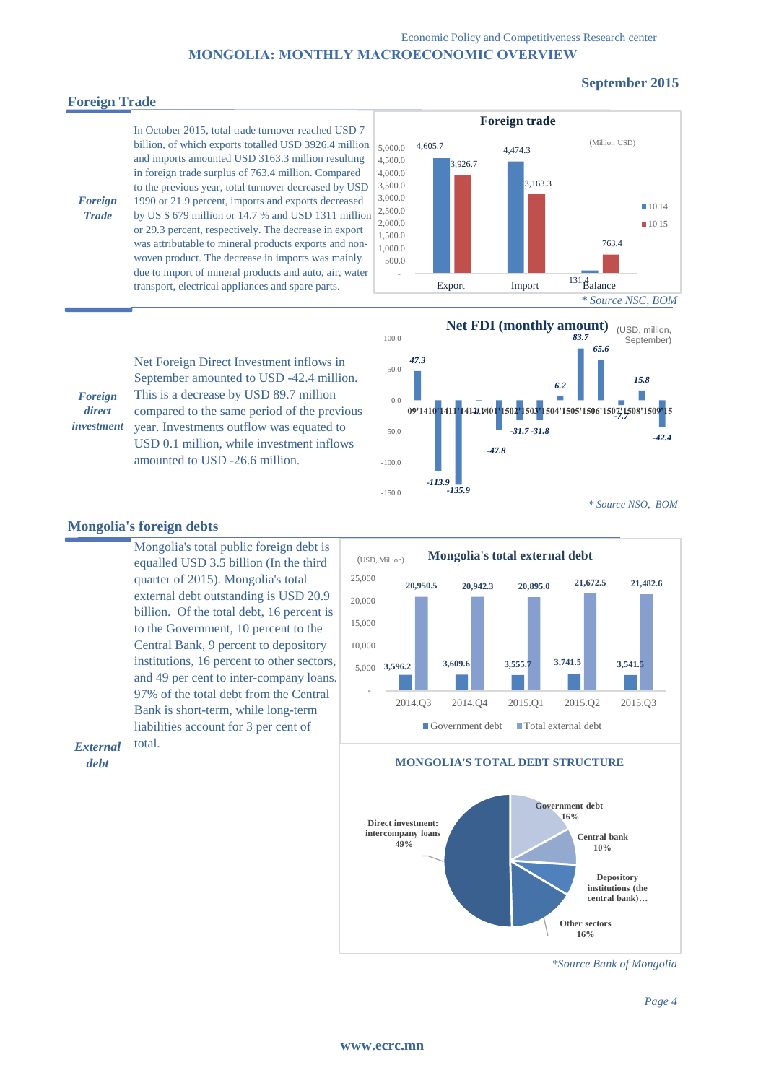#### Economic Policy and Competitiveness Research center **МОNGOLIA: MONTHLY MACROECONOMIC OVERVIEW**

# **Foreign Trade**

*Foreign Trade*

*Foreign direct investment*

# **September 2015**

In October 2015, total trade turnover reached USD 7 billion, of which exports totalled USD 3926.4 million  $\left| \right._{\right.5,000.0}$ and imports amounted USD 3163.3 million resulting in foreign trade surplus of 763.4 million. Compared to the previous year, total turnover decreased by USD 1990 or 21.9 percent, imports and exports decreased by US \$ 679 million or 14.7 % and USD 1311 million or 29.3 percent, respectively. The decrease in export was attributable to mineral products exports and nonwoven product. The decrease in imports was mainly due to import of mineral products and auto, air, water transport, electrical appliances and spare parts.

Net Foreign Direct Investment inflows in September amounted to USD -42.4 million. This is a decrease by USD 89.7 million





#### **Mongolia's foreign debts**

Mongolia's total public foreign debt is equalled USD 3.5 billion (In the third quarter of 2015). Mongolia's total external debt outstanding is USD 20.9 billion. Of the total debt, 16 percent is to the Government, 10 percent to the Central Bank, 9 percent to depository institutions, 16 percent to other sectors, and 49 per cent to inter-company loans. 97% of the total debt from the Central Bank is short-term, while long-term liabilities account for 3 per cent of total.

**3,596.2 3,609.6 3,555.7 3,741.5 3,541.5 20,950.5 20,942.3 20,895.0 21,672.5 21,482.6** -  $5,000$  3,596.2 10,000 15,000 20,000 25,000 2014.Q3 2014.Q4 2015.Q1 2015.Q2 2015.Q3 **Mongolia's total external debt**  $\Box$  Government debt  $\Box$  Total external debt (USD, Million)

**Government debt 16% Central bank 10% Depository institutions (the central bank)… Other sectors 16% Direct investment: intercompany loans 49% MONGOLIA'S TOTAL DEBT STRUCTURE**

*\*Source Bank of Mongolia*



*External* 

*debt*